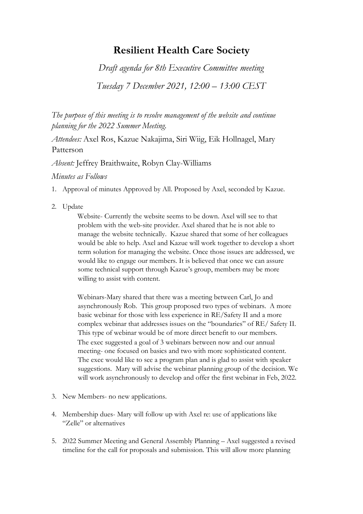## **Resilient Health Care Society**

*Draft agenda for 8th Executive Committee meeting* 

*Tuesday 7 December 2021, 12:00 – 13:00 CEST*

*The purpose of this meeting is to resolve management of the website and continue planning for the 2022 Summer Meeting.*

*Attendees:* Axel Ros, Kazue Nakajima, Siri Wiig, Eik Hollnagel, Mary Patterson

*Absent:* Jeffrey Braithwaite, Robyn Clay-Williams

*Minutes as Follows*

1. Approval of minutes Approved by All. Proposed by Axel, seconded by Kazue.

2. Update

Website- Currently the website seems to be down. Axel will see to that problem with the web-site provider. Axel shared that he is not able to manage the website technically. Kazue shared that some of her colleagues would be able to help. Axel and Kazue will work together to develop a short term solution for managing the website. Once those issues are addressed, we would like to engage our members. It is believed that once we can assure some technical support through Kazue's group, members may be more willing to assist with content.

Webinars-Mary shared that there was a meeting between Carl, Jo and asynchronously Rob. This group proposed two types of webinars. A more basic webinar for those with less experience in RE/Safety II and a more complex webinar that addresses issues on the "boundaries" of RE/ Safety II. This type of webinar would be of more direct benefit to our members. The exec suggested a goal of 3 webinars between now and our annual meeting- one focused on basics and two with more sophisticated content. The exec would like to see a program plan and is glad to assist with speaker suggestions. Mary will advise the webinar planning group of the decision. We will work asynchronously to develop and offer the first webinar in Feb, 2022.

- 3. New Members- no new applications.
- 4. Membership dues- Mary will follow up with Axel re: use of applications like "Zelle" or alternatives
- 5. 2022 Summer Meeting and General Assembly Planning Axel suggested a revised timeline for the call for proposals and submission. This will allow more planning